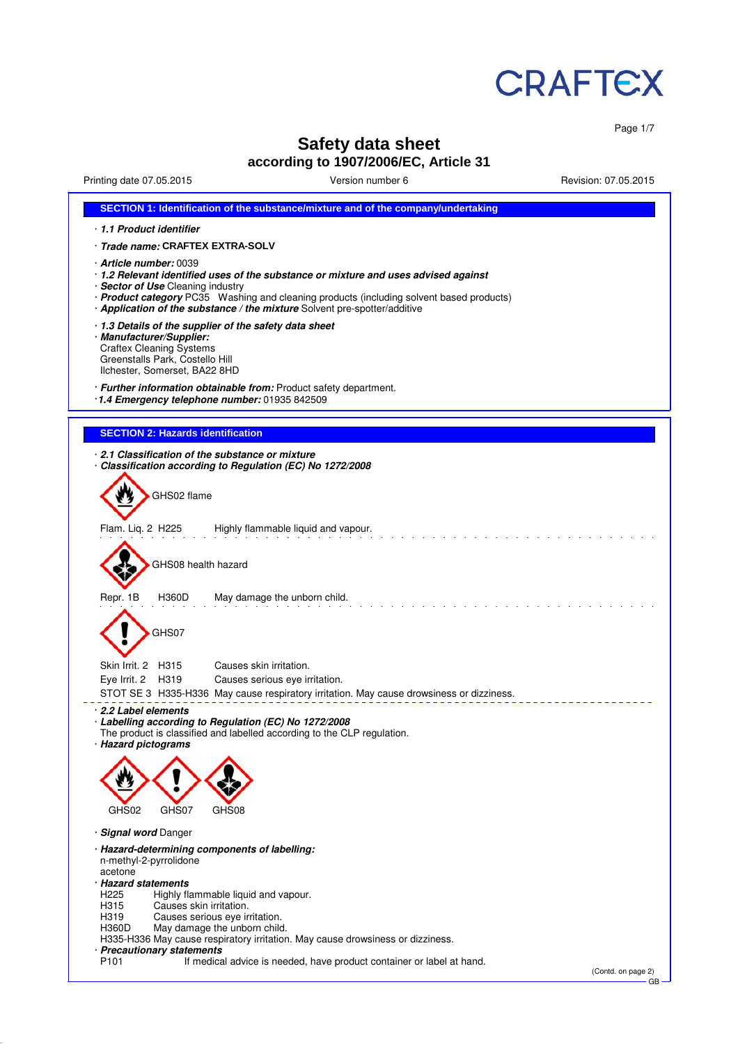

Page 1/7

# **Safety data sheet**

## **according to 1907/2006/EC, Article 31**

Printing date 07.05.2015 Version number 6 Revision: 07.05.2015

| SECTION 1: Identification of the substance/mixture and of the company/undertaking                                                                                                                                                                                                                                           |                    |
|-----------------------------------------------------------------------------------------------------------------------------------------------------------------------------------------------------------------------------------------------------------------------------------------------------------------------------|--------------------|
| 1.1 Product identifier                                                                                                                                                                                                                                                                                                      |                    |
| · Trade name: CRAFTEX EXTRA-SOLV                                                                                                                                                                                                                                                                                            |                    |
| · Article number: 0039<br>· 1.2 Relevant identified uses of the substance or mixture and uses advised against<br>· Sector of Use Cleaning industry<br>· Product category PC35 Washing and cleaning products (including solvent based products)<br>· Application of the substance / the mixture Solvent pre-spotter/additive |                    |
| 1.3 Details of the supplier of the safety data sheet<br>· Manufacturer/Supplier:<br><b>Craftex Cleaning Systems</b><br>Greenstalls Park, Costello Hill<br>Ilchester, Somerset, BA22 8HD                                                                                                                                     |                    |
| · Further information obtainable from: Product safety department.<br>1.4 Emergency telephone number: 01935 842509                                                                                                                                                                                                           |                    |
| <b>SECTION 2: Hazards identification</b>                                                                                                                                                                                                                                                                                    |                    |
| 2.1 Classification of the substance or mixture<br>Classification according to Regulation (EC) No 1272/2008<br>GHS02 flame                                                                                                                                                                                                   |                    |
| Flam. Liq. 2 H225<br>Highly flammable liquid and vapour.                                                                                                                                                                                                                                                                    |                    |
| GHS08 health hazard                                                                                                                                                                                                                                                                                                         |                    |
| Repr. 1B<br>H360D<br>May damage the unborn child.<br>GHS07                                                                                                                                                                                                                                                                  |                    |
| Skin Irrit. 2 H315<br>Causes skin irritation.                                                                                                                                                                                                                                                                               |                    |
| Eye Irrit. 2<br>Causes serious eye irritation.<br>H319                                                                                                                                                                                                                                                                      |                    |
| STOT SE 3 H335-H336 May cause respiratory irritation. May cause drowsiness or dizziness.                                                                                                                                                                                                                                    |                    |
| 2.2 Label elements<br>· Labelling according to Regulation (EC) No 1272/2008<br>The product is classified and labelled according to the CLP regulation.<br>· Hazard pictograms                                                                                                                                               |                    |
|                                                                                                                                                                                                                                                                                                                             |                    |
| GHS02<br>GHS07<br>GHS08                                                                                                                                                                                                                                                                                                     |                    |
| · Signal word Danger                                                                                                                                                                                                                                                                                                        |                    |
| · Hazard-determining components of labelling:<br>n-methyl-2-pyrrolidone<br>acetone<br>· Hazard statements<br>H <sub>225</sub><br>Highly flammable liquid and vapour.<br>Causes skin irritation.<br>H315<br>H319<br>Causes serious eye irritation.                                                                           |                    |
| H360D<br>May damage the unborn child.<br>H335-H336 May cause respiratory irritation. May cause drowsiness or dizziness.                                                                                                                                                                                                     |                    |
| · Precautionary statements<br>P <sub>101</sub><br>If medical advice is needed, have product container or label at hand.                                                                                                                                                                                                     | (Contd. on page 2) |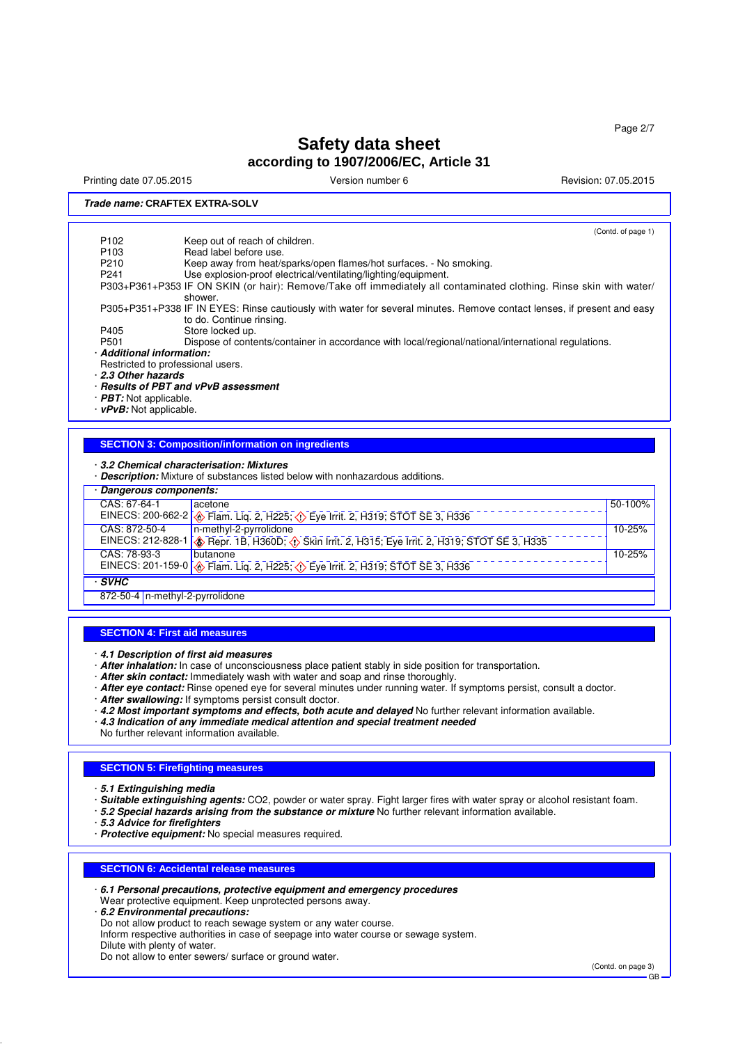Printing date 07.05.2015 Version number 6 Revision: 07.05.2015

### **Trade name: CRAFTEX EXTRA-SOLV**

(Contd. of page 1) P102 Keep out of reach of children.<br>P103 Read label before use P103 Read label before use.<br>P210 Keep away from heat/s P210 Keep away from heat/sparks/open flames/hot surfaces. - No smoking.<br>P241 Use explosion-proof electrical/ventilating/lighting/equipment. Use explosion-proof electrical/ventilating/lighting/equipment. P303+P361+P353 IF ON SKIN (or hair): Remove/Take off immediately all contaminated clothing. Rinse skin with water/ shower. P305+P351+P338 IF IN EYES: Rinse cautiously with water for several minutes. Remove contact lenses, if present and easy to do. Continue rinsing. P405 Store locked up.<br>P501 Dispose of conte Dispose of contents/container in accordance with local/regional/national/international regulations. · **Additional information:** Restricted to professional users. · **2.3 Other hazards** · **Results of PBT and vPvB assessment** · **PBT:** Not applicable.

· **vPvB:** Not applicable.

#### **SECTION 3: Composition/information on ingredients**

#### · **3.2 Chemical characterisation: Mixtures**

· **Description:** Mixture of substances listed below with nonhazardous additions.

| <b>Proprietism</b> infinition of capatances hoted bolon infinitional academons. |                                                                                                   |         |  |  |
|---------------------------------------------------------------------------------|---------------------------------------------------------------------------------------------------|---------|--|--|
|                                                                                 | · Dangerous components:                                                                           |         |  |  |
| CAS: 67-64-1                                                                    | acetone                                                                                           | 50-100% |  |  |
|                                                                                 | EINECS: 200-662-2 <b>4</b> Flam. Liq. 2, H225; 4 Eye Irrit. 2, H319; STOT SE 3, H336              |         |  |  |
| CAS: 872-50-4                                                                   | n-methyl-2-pyrrolidone                                                                            | 10-25%  |  |  |
|                                                                                 | EINECS: 212-828-1 3. Repr. 1B, H360D; 3. Skin Irrit. 2, H315; Eye Irrit. 2, H319; STOT SE 3, H335 |         |  |  |
| CAS: 78-93-3                                                                    | <b>butanone</b>                                                                                   | 10-25%  |  |  |
|                                                                                 | EINECS: 201-159-0 <b>&amp;</b> Flam. Liq. 2, H225; <b>(b)</b> Eye Irrit. 2, H319; STOT SE 3, H336 |         |  |  |
| · SVHC                                                                          |                                                                                                   |         |  |  |
| 872-50-4   n-methyl-2-pyrrolidone                                               |                                                                                                   |         |  |  |

#### **SECTION 4: First aid measures**

- · **4.1 Description of first aid measures**
- · **After inhalation:** In case of unconsciousness place patient stably in side position for transportation.
- · **After skin contact:** Immediately wash with water and soap and rinse thoroughly.
- · **After eye contact:** Rinse opened eye for several minutes under running water. If symptoms persist, consult a doctor.
- · **After swallowing:** If symptoms persist consult doctor.
- · **4.2 Most important symptoms and effects, both acute and delayed** No further relevant information available.
- · **4.3 Indication of any immediate medical attention and special treatment needed**
- No further relevant information available.

#### **SECTION 5: Firefighting measures**

- · **5.1 Extinguishing media**
- · **Suitable extinguishing agents:** CO2, powder or water spray. Fight larger fires with water spray or alcohol resistant foam.
- · **5.2 Special hazards arising from the substance or mixture** No further relevant information available.
- · **5.3 Advice for firefighters**
- · **Protective equipment:** No special measures required.

#### **SECTION 6: Accidental release measures**

· **6.1 Personal precautions, protective equipment and emergency procedures**

- Wear protective equipment. Keep unprotected persons away.
- · **6.2 Environmental precautions:**
- Do not allow product to reach sewage system or any water course.

Inform respective authorities in case of seepage into water course or sewage system.

Dilute with plenty of water. Do not allow to enter sewers/ surface or ground water.

(Contd. on page 3)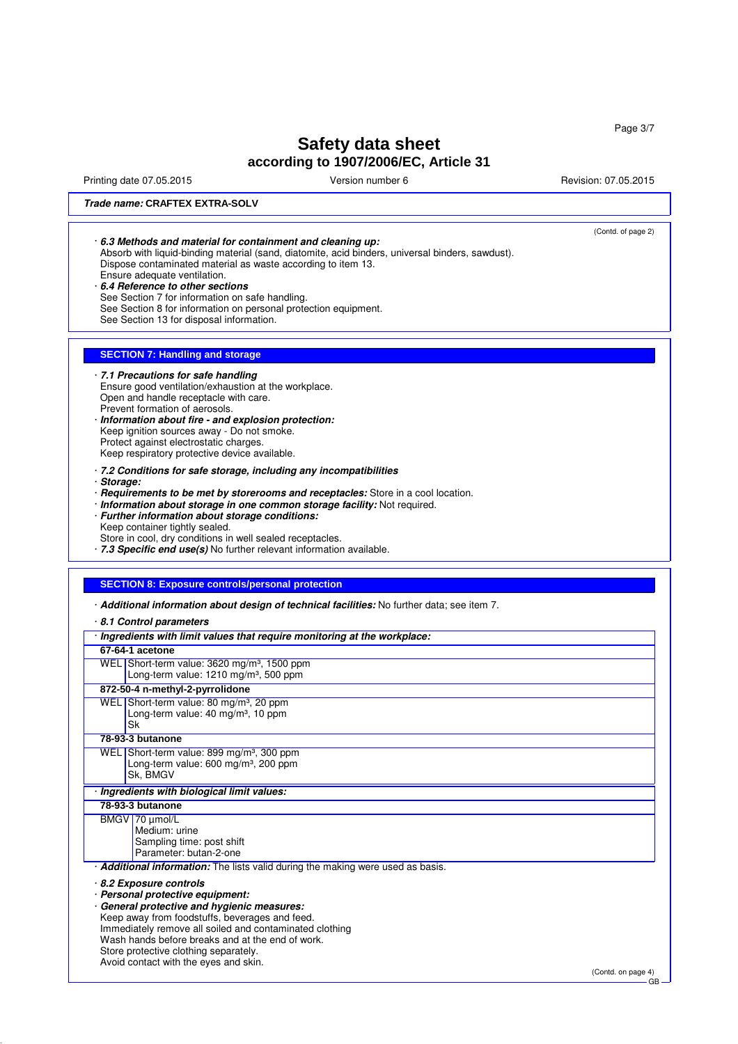Page 3/7

# **Safety data sheet according to 1907/2006/EC, Article 31**

Printing date 07.05.2015 Version number 6 Revision: 07.05.2015

### **Trade name: CRAFTEX EXTRA-SOLV**

|            | 6.3 Methods and material for containment and cleaning up:<br>Absorb with liquid-binding material (sand, diatomite, acid binders, universal binders, sawdust).<br>Dispose contaminated material as waste according to item 13.<br>Ensure adequate ventilation.<br>6.4 Reference to other sections<br>See Section 7 for information on safe handling.<br>See Section 8 for information on personal protection equipment.<br>See Section 13 for disposal information.                                                                                                                                                                                                                                                                                                                                                                        | (Contd. of page 2) |
|------------|-------------------------------------------------------------------------------------------------------------------------------------------------------------------------------------------------------------------------------------------------------------------------------------------------------------------------------------------------------------------------------------------------------------------------------------------------------------------------------------------------------------------------------------------------------------------------------------------------------------------------------------------------------------------------------------------------------------------------------------------------------------------------------------------------------------------------------------------|--------------------|
|            | <b>SECTION 7: Handling and storage</b>                                                                                                                                                                                                                                                                                                                                                                                                                                                                                                                                                                                                                                                                                                                                                                                                    |                    |
| · Storage: | · 7.1 Precautions for safe handling<br>Ensure good ventilation/exhaustion at the workplace.<br>Open and handle receptacle with care.<br>Prevent formation of aerosols.<br>· Information about fire - and explosion protection:<br>Keep ignition sources away - Do not smoke.<br>Protect against electrostatic charges.<br>Keep respiratory protective device available.<br>· 7.2 Conditions for safe storage, including any incompatibilities<br>· Requirements to be met by storerooms and receptacles: Store in a cool location.<br>· Information about storage in one common storage facility: Not required.<br>· Further information about storage conditions:<br>Keep container tightly sealed.<br>Store in cool, dry conditions in well sealed receptacles.<br>· 7.3 Specific end use(s) No further relevant information available. |                    |
|            |                                                                                                                                                                                                                                                                                                                                                                                                                                                                                                                                                                                                                                                                                                                                                                                                                                           |                    |
|            | <b>SECTION 8: Exposure controls/personal protection</b>                                                                                                                                                                                                                                                                                                                                                                                                                                                                                                                                                                                                                                                                                                                                                                                   |                    |
|            | · Additional information about design of technical facilities: No further data; see item 7.<br>8.1 Control parameters                                                                                                                                                                                                                                                                                                                                                                                                                                                                                                                                                                                                                                                                                                                     |                    |
|            | · Ingredients with limit values that require monitoring at the workplace:                                                                                                                                                                                                                                                                                                                                                                                                                                                                                                                                                                                                                                                                                                                                                                 |                    |
|            | 67-64-1 acetone<br>WEL Short-term value: 3620 mg/m <sup>3</sup> , 1500 ppm<br>Long-term value: 1210 mg/m <sup>3</sup> , 500 ppm                                                                                                                                                                                                                                                                                                                                                                                                                                                                                                                                                                                                                                                                                                           |                    |
|            | 872-50-4 n-methyl-2-pyrrolidone                                                                                                                                                                                                                                                                                                                                                                                                                                                                                                                                                                                                                                                                                                                                                                                                           |                    |
|            | WEL Short-term value: 80 mg/m <sup>3</sup> , 20 ppm<br>Long-term value: 40 mg/m <sup>3</sup> , 10 ppm<br>Sk                                                                                                                                                                                                                                                                                                                                                                                                                                                                                                                                                                                                                                                                                                                               |                    |
|            | 78-93-3 butanone                                                                                                                                                                                                                                                                                                                                                                                                                                                                                                                                                                                                                                                                                                                                                                                                                          |                    |
|            | WEL Short-term value: 899 mg/m <sup>3</sup> , 300 ppm<br>Long-term value: 600 mg/m <sup>3</sup> , 200 ppm<br>Sk, BMGV                                                                                                                                                                                                                                                                                                                                                                                                                                                                                                                                                                                                                                                                                                                     |                    |
|            | · Ingredients with biological limit values:                                                                                                                                                                                                                                                                                                                                                                                                                                                                                                                                                                                                                                                                                                                                                                                               |                    |
|            | 78-93-3 butanone                                                                                                                                                                                                                                                                                                                                                                                                                                                                                                                                                                                                                                                                                                                                                                                                                          |                    |
|            | BMGV 70 µmol/L<br>Medium: urine<br>Sampling time: post shift<br>Parameter: butan-2-one                                                                                                                                                                                                                                                                                                                                                                                                                                                                                                                                                                                                                                                                                                                                                    |                    |
|            | · <b>Additional information:</b> The lists valid during the making were used as basis.                                                                                                                                                                                                                                                                                                                                                                                                                                                                                                                                                                                                                                                                                                                                                    |                    |
|            | 8.2 Exposure controls<br>· Personal protective equipment:<br>· General protective and hygienic measures:<br>Keep away from foodstuffs, beverages and feed.<br>Immediately remove all soiled and contaminated clothing<br>Wash hands before breaks and at the end of work.<br>Store protective clothing separately.                                                                                                                                                                                                                                                                                                                                                                                                                                                                                                                        |                    |
|            | Avoid contact with the eyes and skin.                                                                                                                                                                                                                                                                                                                                                                                                                                                                                                                                                                                                                                                                                                                                                                                                     | (Contd. on page 4) |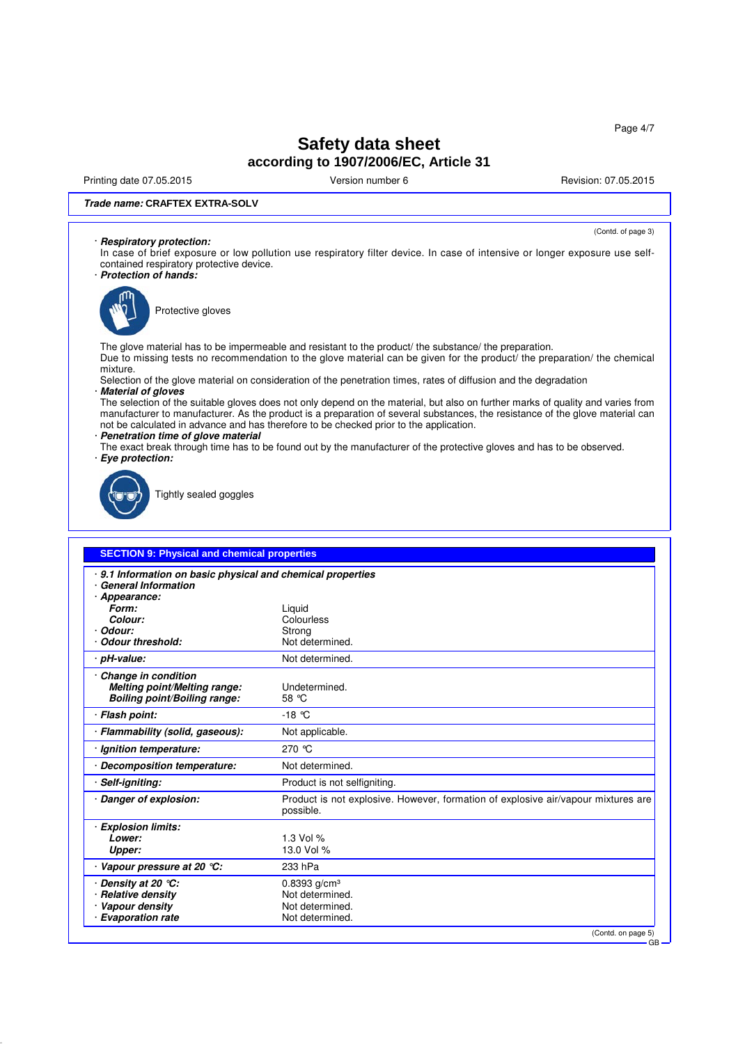Printing date 07.05.2015 **Version number 6** Newsley Revision: 07.05.2015

(Contd. of page 3)

#### **Trade name: CRAFTEX EXTRA-SOLV**

### · **Respiratory protection:**

- In case of brief exposure or low pollution use respiratory filter device. In case of intensive or longer exposure use selfcontained respiratory protective device.
- · **Protection of hands:**



Protective gloves

The glove material has to be impermeable and resistant to the product/ the substance/ the preparation. Due to missing tests no recommendation to the glove material can be given for the product/ the preparation/ the chemical mixture.

Selection of the glove material on consideration of the penetration times, rates of diffusion and the degradation · **Material of gloves**

The selection of the suitable gloves does not only depend on the material, but also on further marks of quality and varies from manufacturer to manufacturer. As the product is a preparation of several substances, the resistance of the glove material can not be calculated in advance and has therefore to be checked prior to the application.

· **Penetration time of glove material**

The exact break through time has to be found out by the manufacturer of the protective gloves and has to be observed. · **Eye protection:**



Tightly sealed goggles

| <b>SECTION 9: Physical and chemical properties</b>                                                         |                                                                                                |  |
|------------------------------------------------------------------------------------------------------------|------------------------------------------------------------------------------------------------|--|
| · 9.1 Information on basic physical and chemical properties<br><b>General Information</b><br>· Appearance: |                                                                                                |  |
| Form:                                                                                                      | Liquid                                                                                         |  |
| Colour:                                                                                                    | Colourless                                                                                     |  |
| Odour:                                                                                                     | Strong                                                                                         |  |
| <b>Odour threshold:</b>                                                                                    | Not determined.                                                                                |  |
| · pH-value:                                                                                                | Not determined.                                                                                |  |
| Change in condition<br>Melting point/Melting range:<br><b>Boiling point/Boiling range:</b>                 | Undetermined.<br>58 °C                                                                         |  |
| · Flash point:                                                                                             | $-18$ °C                                                                                       |  |
| · Flammability (solid, gaseous):                                                                           | Not applicable.                                                                                |  |
| · Ignition temperature:                                                                                    | 270 ℃                                                                                          |  |
| · Decomposition temperature:                                                                               | Not determined.                                                                                |  |
| Self-igniting:                                                                                             | Product is not selfigniting.                                                                   |  |
| Danger of explosion:                                                                                       | Product is not explosive. However, formation of explosive air/vapour mixtures are<br>possible. |  |
| · Explosion limits:<br>Lower:<br>Upper:                                                                    | 1.3 Vol %<br>13.0 Vol %                                                                        |  |
| Vapour pressure at 20 °C:                                                                                  | 233 hPa                                                                                        |  |
| Density at 20 $°C$ :                                                                                       | $0.8393$ g/cm <sup>3</sup>                                                                     |  |
| <b>Relative density</b>                                                                                    | Not determined.                                                                                |  |
| Vapour density                                                                                             | Not determined.                                                                                |  |
| · Evaporation rate                                                                                         | Not determined.                                                                                |  |
|                                                                                                            | (Contd. on page 5)                                                                             |  |
|                                                                                                            | $GB -$                                                                                         |  |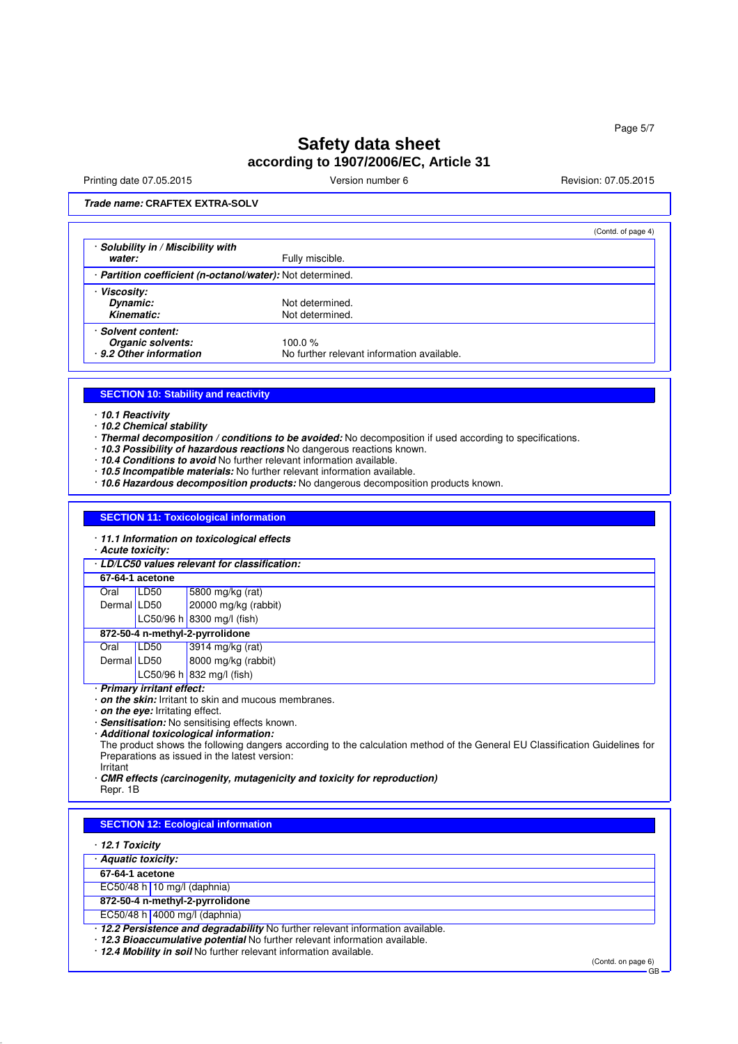Printing date 07.05.2015 **Version number 6** Newsley Revision: 07.05.2015

### **Trade name: CRAFTEX EXTRA-SOLV**

|                                                                 |                                            | (Contd. of page 4) |
|-----------------------------------------------------------------|--------------------------------------------|--------------------|
| Solubility in / Miscibility with                                |                                            |                    |
| water:                                                          | Fully miscible.                            |                    |
| <b>Partition coefficient (n-octanol/water): Not determined.</b> |                                            |                    |
| <b>Viscosity:</b>                                               |                                            |                    |
| Dynamic:                                                        | Not determined.                            |                    |
| Kinematic:                                                      | Not determined.                            |                    |
| · Solvent content:                                              |                                            |                    |
| Organic solvents:                                               | 100.0 $%$                                  |                    |
| · 9.2 Other information                                         | No further relevant information available. |                    |

### **SECTION 10: Stability and reactivity**

· **10.1 Reactivity**

· **10.2 Chemical stability**

· **Thermal decomposition / conditions to be avoided:** No decomposition if used according to specifications.

- · **10.3 Possibility of hazardous reactions** No dangerous reactions known.
- · **10.4 Conditions to avoid** No further relevant information available.
- · **10.5 Incompatible materials:** No further relevant information available.
- · **10.6 Hazardous decomposition products:** No dangerous decomposition products known.

#### **SECTION 11: Toxicological information**

|  |  | 11.1 Information on toxicological effects |  |  |  |  |
|--|--|-------------------------------------------|--|--|--|--|
|--|--|-------------------------------------------|--|--|--|--|

· **Acute toxicity:**

| · LD/LC50 values relevant for classification:                                                                                                                                                                                                                   |                                 |                            |  |  |
|-----------------------------------------------------------------------------------------------------------------------------------------------------------------------------------------------------------------------------------------------------------------|---------------------------------|----------------------------|--|--|
|                                                                                                                                                                                                                                                                 | 67-64-1 acetone                 |                            |  |  |
| Oral                                                                                                                                                                                                                                                            | LD50                            | 5800 mg/kg (rat)           |  |  |
| Dermal LD50                                                                                                                                                                                                                                                     |                                 | 20000 mg/kg (rabbit)       |  |  |
|                                                                                                                                                                                                                                                                 |                                 | LC50/96 h 8300 mg/l (fish) |  |  |
|                                                                                                                                                                                                                                                                 | 872-50-4 n-methyl-2-pyrrolidone |                            |  |  |
| Oral                                                                                                                                                                                                                                                            | LD50                            | 3914 mg/kg (rat)           |  |  |
| Dermal LD50                                                                                                                                                                                                                                                     |                                 | 8000 mg/kg (rabbit)        |  |  |
|                                                                                                                                                                                                                                                                 |                                 | LC50/96 h 832 mg/l (fish)  |  |  |
| · Primary irritant effect:<br>$\mathbf{r}$ , and the state of the state of the state of the state of the state of the state of the state of the state of the state of the state of the state of the state of the state of the state of the state of the state o |                                 |                            |  |  |

· **on the skin:** Irritant to skin and mucous membranes.

· **on the eye:** Irritating effect.

· **Sensitisation:** No sensitising effects known. · **Additional toxicological information:**

The product shows the following dangers according to the calculation method of the General EU Classification Guidelines for Preparations as issued in the latest version:

Irritant

· **CMR effects (carcinogenity, mutagenicity and toxicity for reproduction)**

Repr. 1B

#### **SECTION 12: Ecological information**

#### · **12.1 Toxicity**

· **Aquatic toxicity:**

- **67-64-1 acetone**
- EC50/48 h 10 mg/l (daphnia)
- **872-50-4 n-methyl-2-pyrrolidone**
- EC50/48 h 4000 mg/l (daphnia)
- · **12.2 Persistence and degradability** No further relevant information available.
- · **12.3 Bioaccumulative potential** No further relevant information available.

· **12.4 Mobility in soil** No further relevant information available.

(Contd. on page 6) GB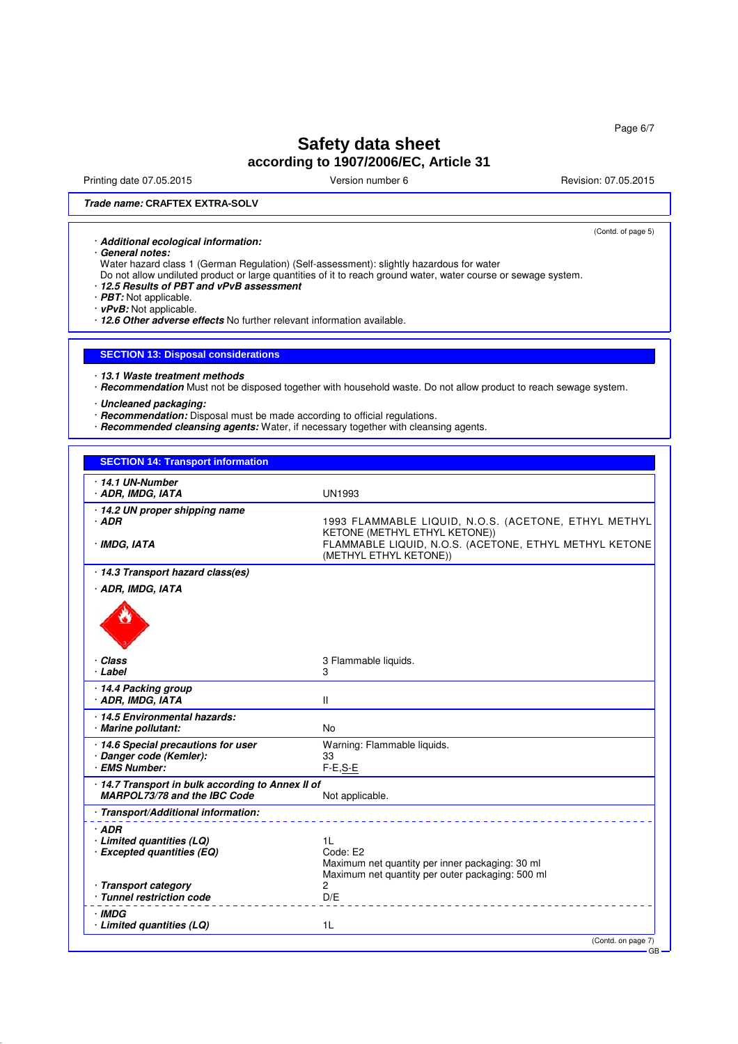Page 6/7

# **Safety data sheet according to 1907/2006/EC, Article 31**

Printing date 07.05.2015 **Version number 6** Newsley Revision: 07.05.2015

(Contd. of page 5)

### **Trade name: CRAFTEX EXTRA-SOLV**

· **Additional ecological information:**

· **General notes:**

Water hazard class 1 (German Regulation) (Self-assessment): slightly hazardous for water

- Do not allow undiluted product or large quantities of it to reach ground water, water course or sewage system.
- · **12.5 Results of PBT and vPvB assessment**
- · **PBT:** Not applicable.
- · **vPvB:** Not applicable.

· **12.6 Other adverse effects** No further relevant information available.

#### **SECTION 13: Disposal considerations**

· **13.1 Waste treatment methods**

- · **Recommendation** Must not be disposed together with household waste. Do not allow product to reach sewage system.
- · **Uncleaned packaging:**
- · **Recommendation:** Disposal must be made according to official regulations.
- · **Recommended cleansing agents:** Water, if necessary together with cleansing agents.

### **SECTION 14: Transport information**

| $\cdot$ 14.1 UN-Number<br>· ADR, IMDG, IATA                                     | <b>UN1993</b>                                                                                                                                                             |
|---------------------------------------------------------------------------------|---------------------------------------------------------------------------------------------------------------------------------------------------------------------------|
| · 14.2 UN proper shipping name<br>$·$ ADR<br>· IMDG, IATA                       | 1993 FLAMMABLE LIQUID, N.O.S. (ACETONE, ETHYL METHYL<br>KETONE (METHYL ETHYL KETONE))<br>FLAMMABLE LIQUID, N.O.S. (ACETONE, ETHYL METHYL KETONE<br>(METHYL ETHYL KETONE)) |
| · 14.3 Transport hazard class(es)                                               |                                                                                                                                                                           |
| · ADR, IMDG, IATA                                                               |                                                                                                                                                                           |
| · Class<br>· Label                                                              | 3 Flammable liquids.<br>3                                                                                                                                                 |
| · 14.4 Packing group<br>· ADR, IMDG, IATA                                       | Ш                                                                                                                                                                         |
| 14.5 Environmental hazards:<br>· Marine pollutant:                              | <b>No</b>                                                                                                                                                                 |
| 14.6 Special precautions for user<br>· Danger code (Kemler):<br>· EMS Number:   | Warning: Flammable liquids.<br>33<br>$F-E, S-E$                                                                                                                           |
| 14.7 Transport in bulk according to Annex II of<br>MARPOL73/78 and the IBC Code | Not applicable.                                                                                                                                                           |
| · Transport/Additional information:                                             |                                                                                                                                                                           |
| · ADR<br>$\cdot$ Limited quantities (LQ)<br>· Excepted quantities (EQ)          | 1L<br>Code: E2<br>Maximum net quantity per inner packaging: 30 ml<br>Maximum net quantity per outer packaging: 500 ml                                                     |
| · Transport category<br>· Tunnel restriction code                               | 2<br>D/E                                                                                                                                                                  |
| · IMDG<br>· Limited quantities (LQ)                                             | 1L                                                                                                                                                                        |
|                                                                                 | (Contd. on page 7)                                                                                                                                                        |